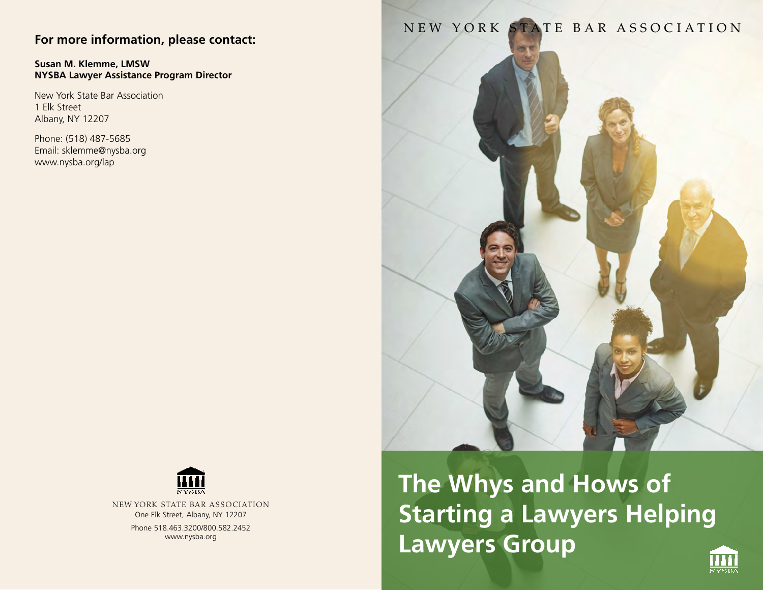# **For more information, please contact:**

#### **Susan M. Klemme, LMSW NYSBA Lawyer Assistance Program Director**

New York State Bar Association 1 Elk Street Albany, NY 12207

Phone: (518) 487-5685 Email: sklemme@nysba.org www.nysba.org/lap

# NEW YORK STATE BAR ASSOCIATION



New York State Bar Association One Elk Street, Albany, NY 12207 Phone 518.463.3200/800.582.2452 www.nysba.org

**The Whys and Hows of Starting a Lawyers Helping Lawyers Group**